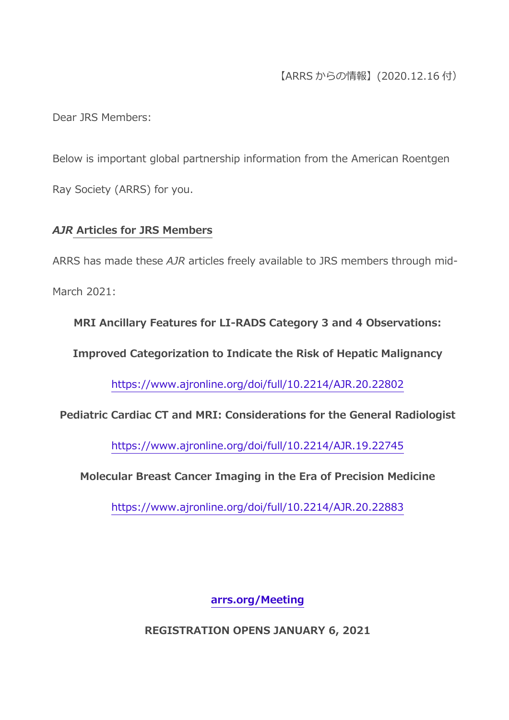# 【ARRS からの情報】(2020.12.16 付)

Dear JRS Members:

Below is important global partnership information from the American Roentgen Ray Society (ARRS) for you.

#### *AJR* **Articles for JRS Members**

ARRS has made these *AJR* articles freely available to JRS members through mid-March 2021:

**MRI Ancillary Features for LI-RADS Category 3 and 4 Observations:** 

**Improved Categorization to Indicate the Risk of Hepatic Malignancy**

<https://www.ajronline.org/doi/full/10.2214/AJR.20.22802>

**Pediatric Cardiac CT and MRI: Considerations for the General Radiologist**

<https://www.ajronline.org/doi/full/10.2214/AJR.19.22745>

**Molecular Breast Cancer Imaging in the Era of Precision Medicine**

<https://www.ajronline.org/doi/full/10.2214/AJR.20.22883>

**[arrs.org/Meeting](https://www.arrs.org/AM21)**

**REGISTRATION OPENS JANUARY 6, 2021**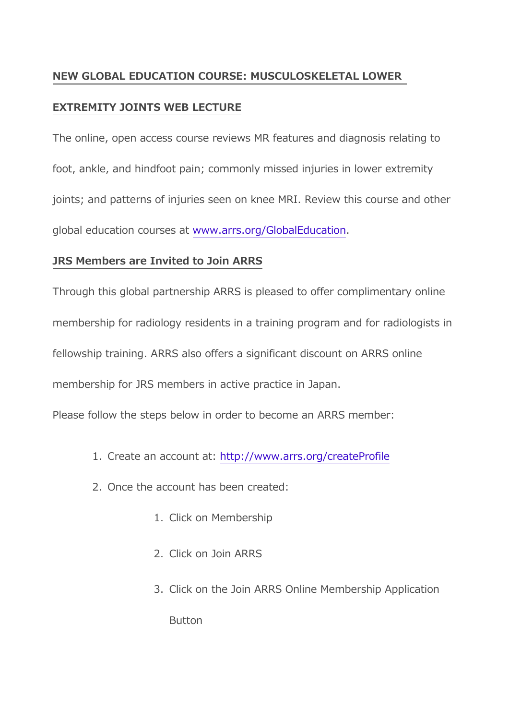## **NEW GLOBAL EDUCATION COURSE: MUSCULOSKELETAL LOWER**

### **EXTREMITY JOINTS WEB LECTURE**

The online, open access course reviews MR features and diagnosis relating to foot, ankle, and hindfoot pain; commonly missed injuries in lower extremity joints; and patterns of injuries seen on knee MRI. Review this course and other global education courses at [www.arrs.org/GlobalEducation.](https://www.arrs.org/GlobalEducation)

### **JRS Members are Invited to Join ARRS**

Through this global partnership ARRS is pleased to offer complimentary online membership for radiology residents in a training program and for radiologists in fellowship training. ARRS also offers a significant discount on ARRS online membership for JRS members in active practice in Japan.

Please follow the steps below in order to become an ARRS member:

- 1. Create an account at: <http://www.arrs.org/createProfile>
- 2. Once the account has been created:
	- 1. Click on Membership
	- 2. Click on Join ARRS
	- 3. Click on the Join ARRS Online Membership Application

**Button**